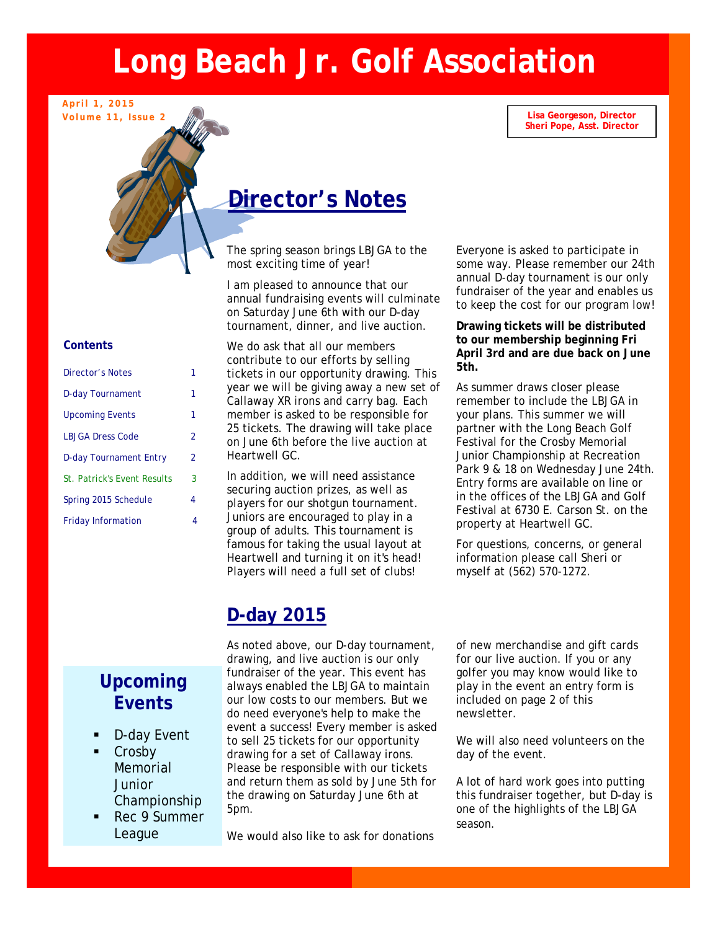# **Long Beach Jr. Golf Association**

**Lisa Georgeson, Director Sheri Pope, Asst. Director** 

## **Director's Notes**

The spring season brings LBJGA to the most exciting time of year!

annual fundraising events will culmin<br>On Saturday June 6th with our D-day<br>tournament, dinner, and live auction I am pleased to announce that our annual fundraising events will culminate tournament, dinner, and live auction.

> We do ask that all our members contribute to our efforts by selling tickets in our opportunity drawing. This year we will be giving away a new set of Callaway XR irons and carry bag. Each member is asked to be responsible for 25 tickets. The drawing will take place on June 6th before the live auction at Heartwell GC.

In addition, we will need assistance securing auction prizes, as well as players for our shotgun tournament. Juniors are encouraged to play in a group of adults. This tournament is famous for taking the usual layout at Heartwell and turning it on it's head! Players will need a full set of clubs!

ing season brings LBJGA to the the terryone is asked to participal<br>Citing time of year!<br>annual D-day tournament is Everyone is asked to participate in some way. Please remember our 24th annual D-day tournament is our only fundraiser of the year and enables us to keep the cost for our program low!

> **Drawing tickets will be distributed to our membership beginning Fri April 3rd and are due back on June 5th.**

As summer draws closer please remember to include the LBJGA in your plans. This summer we will partner with the Long Beach Golf Festival for the Crosby Memorial Junior Championship at Recreation Park 9 & 18 on Wednesday June 24th. Entry forms are available on line or in the offices of the LBJGA and Golf Festival at 6730 E. Carson St. on the property at Heartwell GC.

For questions, concerns, or general information please call Sheri or myself at (562) 570-1272.

## **D-day 2015**

As noted above, our D-day tournament, drawing, and live auction is our only fundraiser of the year. This event has always enabled the LBJGA to maintain our low costs to our members. But we do need everyone's help to make the event a success! Every member is asked to sell 25 tickets for our opportunity drawing for a set of Callaway irons. Please be responsible with our tickets and return them as sold by June 5th for the drawing on Saturday June 6th at 5pm.

We would also like to ask for donations

of new merchandise and gift cards for our live auction. If you or any golfer you may know would like to play in the event an entry form is included on page 2 of this newsletter.

We will also need volunteers on the day of the event.

A lot of hard work goes into putting this fundraiser together, but D-day is one of the highlights of the LBJGA season.

### **Contents**

**April 1, 2015 Volume 11, Issue 2** 

| Director's Notes                   |                |
|------------------------------------|----------------|
| D-day Tournament                   | 1              |
| <b>Upcoming Events</b>             | 1              |
| <b>LBJGA Dress Code</b>            | $\mathfrak{p}$ |
| <b>D-day Tournament Entry</b>      | $\mathfrak{p}$ |
| <b>St. Patrick's Event Results</b> | 3              |
| Spring 2015 Schedule               | 4              |
| <b>Friday Information</b>          | 4              |

## **Upcoming Events**

- D-day Event
- Crosby Memorial **Junior** Championship
- Rec 9 Summer League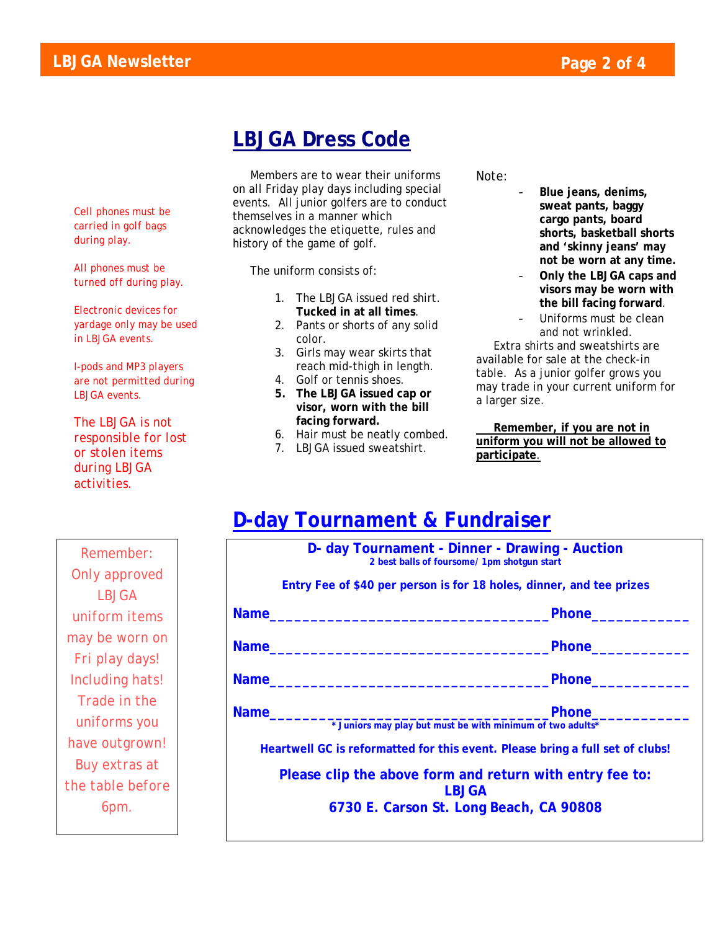## **LBJGA Dress Code**

*Cell phones must be carried in golf bags during play.* 

*All phones must be turned off during play.* 

*Electronic devices for yardage only may be used in LBJGA events.* 

*I-pods and MP3 players are not permitted during LBJGA events.* 

*The LBJGA is not responsible for lost or stolen items during LBJGA activities.* 

 Members are to wear their uniforms on all Friday play days including special events. All junior golfers are to conduct themselves in a manner which acknowledges the etiquette, rules and history of the game of golf.

The uniform consists of:

- 1. The LBJGA issued red shirt. **Tucked in at all times**.
- 2. Pants or shorts of any solid color.
- 3. Girls may wear skirts that reach mid-thigh in length.
- 4. Golf or tennis shoes.
- **5. The LBJGA issued cap or visor, worn with the bill facing forward.**
- 6. Hair must be neatly combed.

**D-day Tournament & Fundraiser** 

7. LBJGA issued sweatshirt.

Note:

- **Blue jeans, denims, sweat pants, baggy cargo pants, board shorts, basketball shorts and 'skinny jeans' may not be worn at any time.**
- **Only the LBJGA caps and visors may be worn with the bill facing forward**.
- Uniforms must be clean and not wrinkled.

 Extra shirts and sweatshirts are available for sale at the check-in table. As a junior golfer grows you may trade in your current uniform for a larger size.

 **Remember, if you are not in uniform you will not be allowed to participate**.

## *Remember: Only approved LBJGA uniform items may be worn on Fri play days! Including hats! Trade in the uniforms you have outgrown! Buy extras at the table before 6pm.*

|             | D- day Tournament - Dinner - Drawing - Auction<br>2 best balls of foursome/ 1pm shotqun start |
|-------------|-----------------------------------------------------------------------------------------------|
|             | Entry Fee of \$40 per person is for 18 holes, dinner, and tee prizes                          |
| <b>Name</b> | <b>Phone</b>                                                                                  |
| <b>Name</b> | <b>Phone</b>                                                                                  |

**Name\_\_\_\_\_\_\_\_\_\_\_\_\_\_\_\_\_\_\_\_\_\_\_\_\_\_\_\_\_\_\_\_\_\_Phone\_\_\_\_\_\_\_\_\_\_\_\_** 

Name **Name Name** *notation* **<b>***n* 

**\* Juniors may play but must be with minimum of two adults\*** 

**Heartwell GC is reformatted for this event. Please bring a full set of clubs!** 

**Please clip the above form and return with entry fee to: LBJGA** 

**6730 E. Carson St. Long Beach, CA 90808**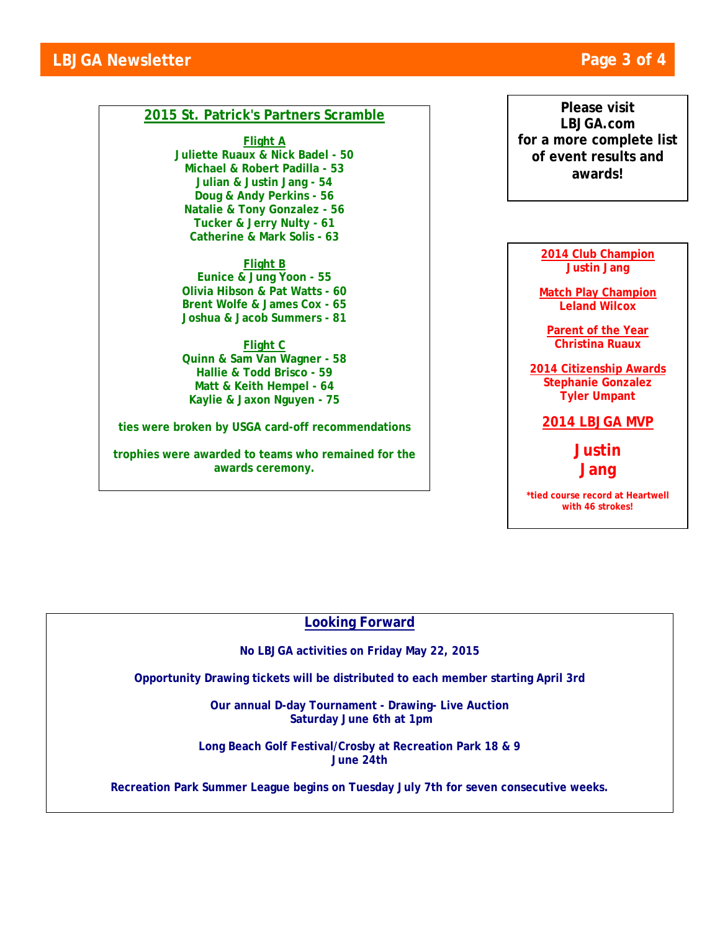### **2015 St. Patrick's Partners Scramble**

**Flight A Juliette Ruaux & Nick Badel - 50 Michael & Robert Padilla - 53 Julian & Justin Jang - 54 Doug & Andy Perkins - 56 Natalie & Tony Gonzalez - 56 Tucker & Jerry Nulty - 61 Catherine & Mark Solis - 63** 

**Flight B Eunice & Jung Yoon - 55 Olivia Hibson & Pat Watts - 60 Brent Wolfe & James Cox - 65 Joshua & Jacob Summers - 81** 

**Flight C Quinn & Sam Van Wagner - 58 Hallie & Todd Brisco - 59 Matt & Keith Hempel - 64 Kaylie & Jaxon Nguyen - 75**

**ties were broken by USGA card-off recommendations** 

**trophies were awarded to teams who remained for the awards ceremony.** 

**Please visit LBJGA.com for a more complete list of event results and awards!** 

> **2014 Club Champion Justin Jang**

**Match Play Champion Leland Wilcox** 

**Parent of the Year Christina Ruaux** 

**2014 Citizenship Awards Stephanie Gonzalez Tyler Umpant** 

**2014 LBJGA MVP** 

**Justin Jang** 

**\*tied course record at Heartwell with 46 strokes!** 

### **Looking Forward**

**No LBJGA activities on Friday May 22, 2015** 

**Opportunity Drawing tickets will be distributed to each member starting April 3rd** 

**Our annual D-day Tournament - Drawing- Live Auction Saturday June 6th at 1pm** 

**Long Beach Golf Festival/Crosby at Recreation Park 18 & 9 June 24th** 

**Recreation Park Summer League begins on Tuesday July 7th for seven consecutive weeks.**